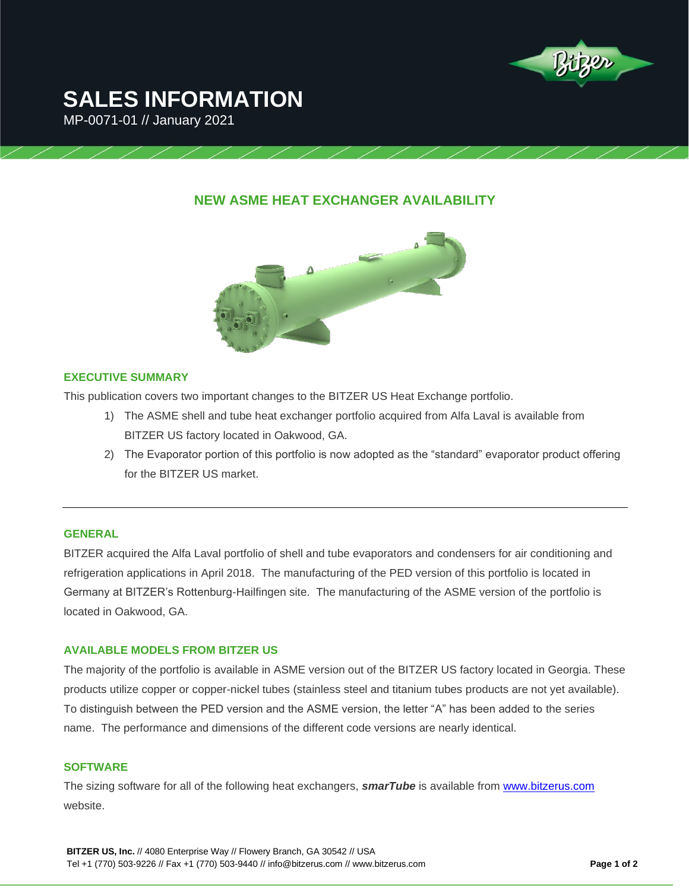

# **SALES INFORMATION**

MP-0071-01 // January 2021

# **NEW ASME HEAT EXCHANGER AVAILABILITY**



# **EXECUTIVE SUMMARY**

This publication covers two important changes to the BITZER US Heat Exchange portfolio.

- 1) The ASME shell and tube heat exchanger portfolio acquired from Alfa Laval is available from BITZER US factory located in Oakwood, GA.
- 2) The Evaporator portion of this portfolio is now adopted as the "standard" evaporator product offering for the BITZER US market.

# **GENERAL**

BITZER acquired the Alfa Laval portfolio of shell and tube evaporators and condensers for air conditioning and refrigeration applications in April 2018. The manufacturing of the PED version of this portfolio is located in Germany at BITZER's Rottenburg-Hailfingen site. The manufacturing of the ASME version of the portfolio is located in Oakwood, GA.

# **AVAILABLE MODELS FROM BITZER US**

The majority of the portfolio is available in ASME version out of the BITZER US factory located in Georgia. These products utilize copper or copper-nickel tubes (stainless steel and titanium tubes products are not yet available). To distinguish between the PED version and the ASME version, the letter "A" has been added to the series name. The performance and dimensions of the different code versions are nearly identical.

### **SOFTWARE**

The sizing software for all of the following heat exchangers, *smarTube* is available from [www.bitzerus.com](http://www.bitzerus.com/) website.